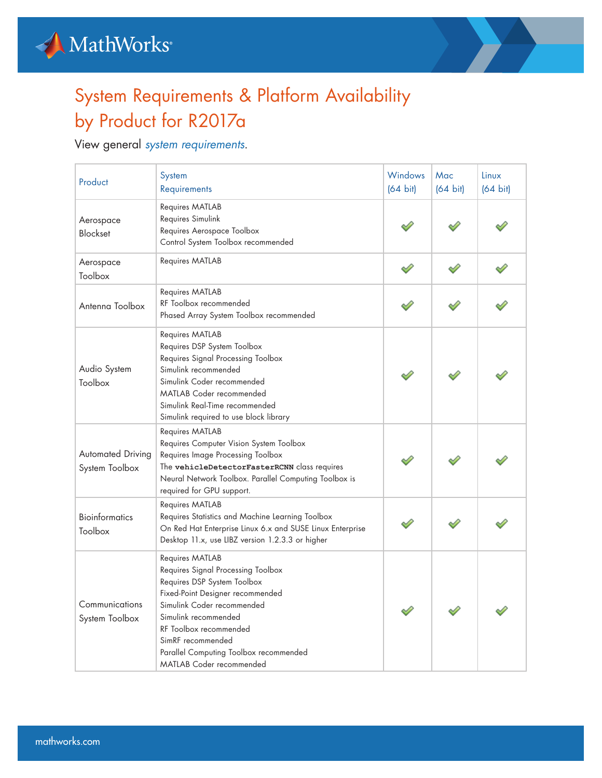



## System Requirements & Platform Availability by Product for R2017a

View general *[system requirements](https://www.mathworks.com/content/dam/mathworks/mathworks-dot-com/support/sysreq/files/SystemRequirements-Release2017a_SupportedCompilers.pdf)*.

| Product                                    | System<br>Requirements                                                                                                                                                                                                                                                                                     | <b>Windows</b><br>$(64 \text{ bit})$ | Mac<br>$(64 \text{ bit})$ | Linux<br>$(64 \text{ bit})$ |
|--------------------------------------------|------------------------------------------------------------------------------------------------------------------------------------------------------------------------------------------------------------------------------------------------------------------------------------------------------------|--------------------------------------|---------------------------|-----------------------------|
| Aerospace<br><b>Blockset</b>               | Requires MATLAB<br>Requires Simulink<br>Requires Aerospace Toolbox<br>Control System Toolbox recommended                                                                                                                                                                                                   |                                      |                           |                             |
| Aerospace<br>Toolbox                       | Requires MATLAB                                                                                                                                                                                                                                                                                            |                                      |                           |                             |
| Antenna Toolbox                            | Requires MATLAB<br>RF Toolbox recommended<br>Phased Array System Toolbox recommended                                                                                                                                                                                                                       |                                      |                           |                             |
| Audio System<br>Toolbox                    | Requires MATLAB<br>Requires DSP System Toolbox<br>Requires Signal Processing Toolbox<br>Simulink recommended<br>Simulink Coder recommended<br>MATLAB Coder recommended<br>Simulink Real-Time recommended<br>Simulink required to use block library                                                         |                                      |                           |                             |
| <b>Automated Driving</b><br>System Toolbox | Requires MATLAB<br>Requires Computer Vision System Toolbox<br><b>Requires Image Processing Toolbox</b><br>The vehicleDetectorFasterRCNN class requires<br>Neural Network Toolbox. Parallel Computing Toolbox is<br>required for GPU support.                                                               |                                      |                           |                             |
| <b>Bioinformatics</b><br>Toolbox           | Requires MATLAB<br>Requires Statistics and Machine Learning Toolbox<br>On Red Hat Enterprise Linux 6.x and SUSE Linux Enterprise<br>Desktop 11.x, use LIBZ version 1.2.3.3 or higher                                                                                                                       |                                      |                           |                             |
| Communications<br>System Toolbox           | Requires MATLAB<br>Requires Signal Processing Toolbox<br>Requires DSP System Toolbox<br>Fixed-Point Designer recommended<br>Simulink Coder recommended<br>Simulink recommended<br>RF Toolbox recommended<br>SimRF recommended<br>Parallel Computing Toolbox recommended<br><b>MATLAB Coder recommended</b> |                                      |                           |                             |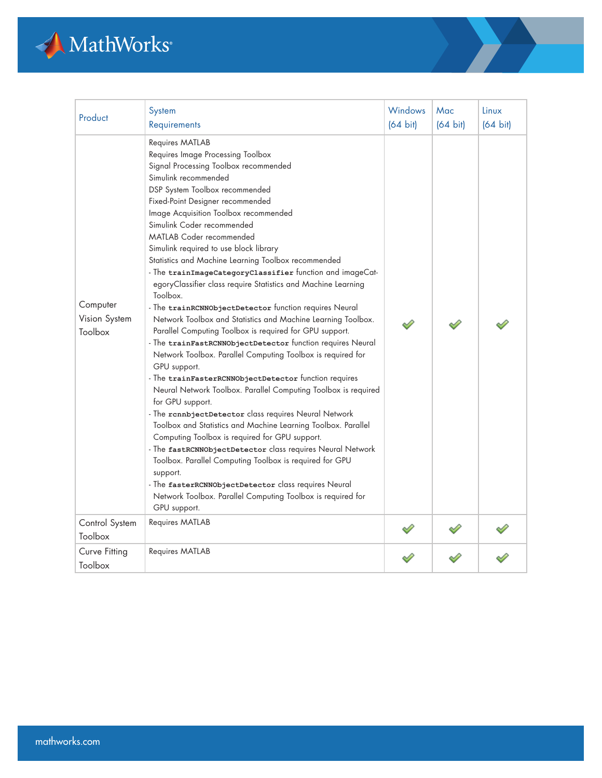

| Product                              | System<br>Requirements                                                                                                                                                                                                                                                                                                                                                                                                                                                                                                                                                                                                                                                                                                                                                                                                                                                                                                                                                                                                                                                                                                                                                                                                                                                                                                                                                                                                                                                                    | Windows<br>$(64 \text{ bit})$ | Mac<br>$(64 \text{ bit})$ | Linux<br>$(64 \text{ bit})$ |
|--------------------------------------|-------------------------------------------------------------------------------------------------------------------------------------------------------------------------------------------------------------------------------------------------------------------------------------------------------------------------------------------------------------------------------------------------------------------------------------------------------------------------------------------------------------------------------------------------------------------------------------------------------------------------------------------------------------------------------------------------------------------------------------------------------------------------------------------------------------------------------------------------------------------------------------------------------------------------------------------------------------------------------------------------------------------------------------------------------------------------------------------------------------------------------------------------------------------------------------------------------------------------------------------------------------------------------------------------------------------------------------------------------------------------------------------------------------------------------------------------------------------------------------------|-------------------------------|---------------------------|-----------------------------|
| Computer<br>Vision System<br>Toolbox | Requires MATLAB<br>Requires Image Processing Toolbox<br>Signal Processing Toolbox recommended<br>Simulink recommended<br>DSP System Toolbox recommended<br>Fixed-Point Designer recommended<br>Image Acquisition Toolbox recommended<br>Simulink Coder recommended<br><b>MATLAB Coder recommended</b><br>Simulink required to use block library<br>Statistics and Machine Learning Toolbox recommended<br>- The trainImageCategoryClassifier function and imageCat-<br>egoryClassifier class require Statistics and Machine Learning<br>Toolbox.<br>- The trainRCNNObjectDetector function requires Neural<br>Network Toolbox and Statistics and Machine Learning Toolbox.<br>Parallel Computing Toolbox is required for GPU support.<br>- The trainFastRCNNObjectDetector function requires Neural<br>Network Toolbox. Parallel Computing Toolbox is required for<br>GPU support.<br>- The trainFasterRCNNObjectDetector function requires<br>Neural Network Toolbox. Parallel Computing Toolbox is required<br>for GPU support.<br>- The rennbjectDetector class requires Neural Network<br>Toolbox and Statistics and Machine Learning Toolbox. Parallel<br>Computing Toolbox is required for GPU support.<br>- The fastRCNNObjectDetector class requires Neural Network<br>Toolbox. Parallel Computing Toolbox is required for GPU<br>support.<br>- The fasterRCNNObjectDetector class requires Neural<br>Network Toolbox. Parallel Computing Toolbox is required for<br>GPU support. |                               |                           |                             |
| Control System<br>Toolbox            | Requires MATLAB                                                                                                                                                                                                                                                                                                                                                                                                                                                                                                                                                                                                                                                                                                                                                                                                                                                                                                                                                                                                                                                                                                                                                                                                                                                                                                                                                                                                                                                                           |                               |                           |                             |
| Curve Fitting<br>Toolbox             | Requires MATLAB                                                                                                                                                                                                                                                                                                                                                                                                                                                                                                                                                                                                                                                                                                                                                                                                                                                                                                                                                                                                                                                                                                                                                                                                                                                                                                                                                                                                                                                                           |                               |                           |                             |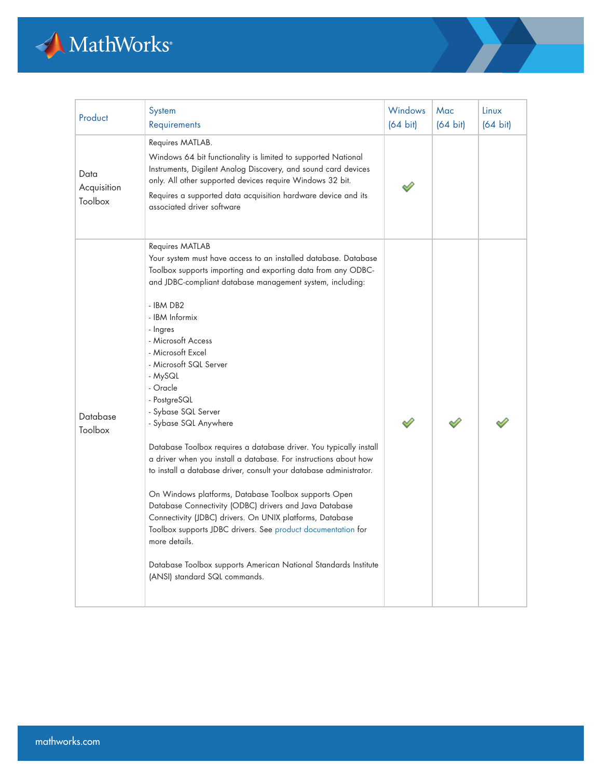

| Product                        | System<br>Requirements                                                                                                                                                                                                                                                                                                                                                                                                                                                                                                                                                                                                                                                                                                                                                                                                                                                                                                                                                                                    | <b>Windows</b><br>$(64 \text{ bit})$ | Mac<br>$(64 \text{ bit})$ | Linux<br>$(64 \text{ bit})$ |
|--------------------------------|-----------------------------------------------------------------------------------------------------------------------------------------------------------------------------------------------------------------------------------------------------------------------------------------------------------------------------------------------------------------------------------------------------------------------------------------------------------------------------------------------------------------------------------------------------------------------------------------------------------------------------------------------------------------------------------------------------------------------------------------------------------------------------------------------------------------------------------------------------------------------------------------------------------------------------------------------------------------------------------------------------------|--------------------------------------|---------------------------|-----------------------------|
| Data<br>Acquisition<br>Toolbox | Requires MATLAB.<br>Windows 64 bit functionality is limited to supported National<br>Instruments, Digilent Analog Discovery, and sound card devices<br>only. All other supported devices require Windows 32 bit.<br>Requires a supported data acquisition hardware device and its<br>associated driver software                                                                                                                                                                                                                                                                                                                                                                                                                                                                                                                                                                                                                                                                                           |                                      |                           |                             |
| Database<br>Toolbox            | Requires MATLAB<br>Your system must have access to an installed database. Database<br>Toolbox supports importing and exporting data from any ODBC-<br>and JDBC-compliant database management system, including:<br>- IBM DB2<br>- IBM Informix<br>- Ingres<br>- Microsoft Access<br>- Microsoft Excel<br>- Microsoft SQL Server<br>- MySQL<br>- Oracle<br>- PostgreSQL<br>- Sybase SQL Server<br>- Sybase SQL Anywhere<br>Database Toolbox requires a database driver. You typically install<br>a driver when you install a database. For instructions about how<br>to install a database driver, consult your database administrator.<br>On Windows platforms, Database Toolbox supports Open<br>Database Connectivity (ODBC) drivers and Java Database<br>Connectivity (JDBC) drivers. On UNIX platforms, Database<br>Toolbox supports JDBC drivers. See product documentation for<br>more details.<br>Database Toolbox supports American National Standards Institute<br>(ANSI) standard SQL commands. |                                      |                           |                             |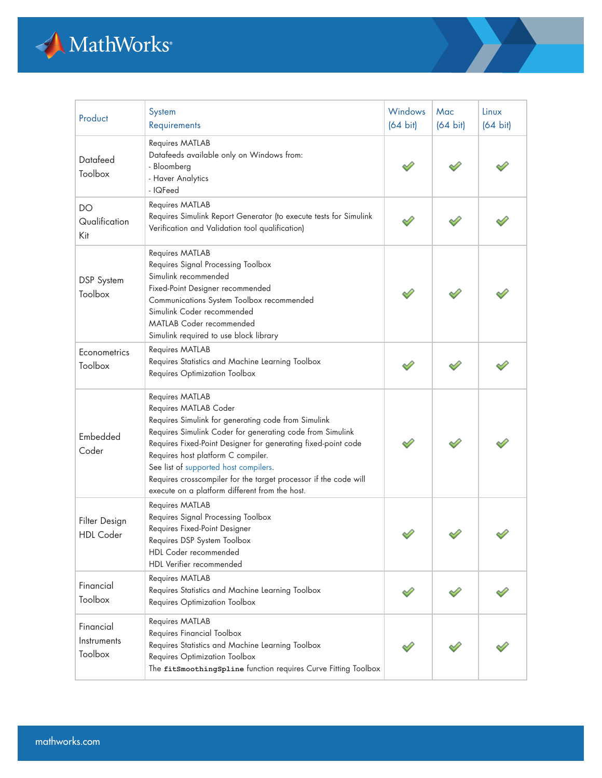

| Product                             | System<br>Requirements                                                                                                                                                                                                                                                                                                                                                                                                             | Windows<br>$(64 \text{ bit})$ | Mac<br>$(64 \text{ bit})$ | Linux<br>$(64 \text{ bit})$ |
|-------------------------------------|------------------------------------------------------------------------------------------------------------------------------------------------------------------------------------------------------------------------------------------------------------------------------------------------------------------------------------------------------------------------------------------------------------------------------------|-------------------------------|---------------------------|-----------------------------|
| Datafeed<br>Toolbox                 | Requires MATLAB<br>Datafeeds available only on Windows from:<br>- Bloomberg<br>- Haver Analytics<br>- IQFeed                                                                                                                                                                                                                                                                                                                       |                               |                           |                             |
| DO<br>Qualification<br>Kit          | Requires MATLAB<br>Requires Simulink Report Generator (to execute tests for Simulink<br>Verification and Validation tool qualification)                                                                                                                                                                                                                                                                                            |                               |                           |                             |
| <b>DSP</b> System<br>Toolbox        | Requires MATLAB<br>Requires Signal Processing Toolbox<br>Simulink recommended<br>Fixed-Point Designer recommended<br>Communications System Toolbox recommended<br>Simulink Coder recommended<br><b>MATLAB Coder recommended</b><br>Simulink required to use block library                                                                                                                                                          |                               |                           |                             |
| Econometrics<br>Toolbox             | Requires MATLAB<br>Requires Statistics and Machine Learning Toolbox<br>Requires Optimization Toolbox                                                                                                                                                                                                                                                                                                                               |                               |                           |                             |
| Embedded<br>Coder                   | Requires MATLAB<br>Requires MATLAB Coder<br>Requires Simulink for generating code from Simulink<br>Requires Simulink Coder for generating code from Simulink<br>Requires Fixed-Point Designer for generating fixed-point code<br>Requires host platform C compiler.<br>See list of supported host compilers.<br>Requires crosscompiler for the target processor if the code will<br>execute on a platform different from the host. |                               |                           |                             |
| Filter Design<br><b>HDL</b> Coder   | Requires MATLAB<br>Requires Signal Processing Toolbox<br>Requires Fixed-Point Designer<br>Requires DSP System Toolbox<br>HDL Coder recommended<br>HDL Verifier recommended                                                                                                                                                                                                                                                         |                               |                           |                             |
| Financial<br>Toolbox                | Requires MATLAB<br>Requires Statistics and Machine Learning Toolbox<br>Requires Optimization Toolbox                                                                                                                                                                                                                                                                                                                               |                               |                           |                             |
| Financial<br>Instruments<br>Toolbox | Requires MATLAB<br>Requires Financial Toolbox<br>Requires Statistics and Machine Learning Toolbox<br>Requires Optimization Toolbox<br>The fitSmoothingSpline function requires Curve Fitting Toolbox                                                                                                                                                                                                                               |                               |                           |                             |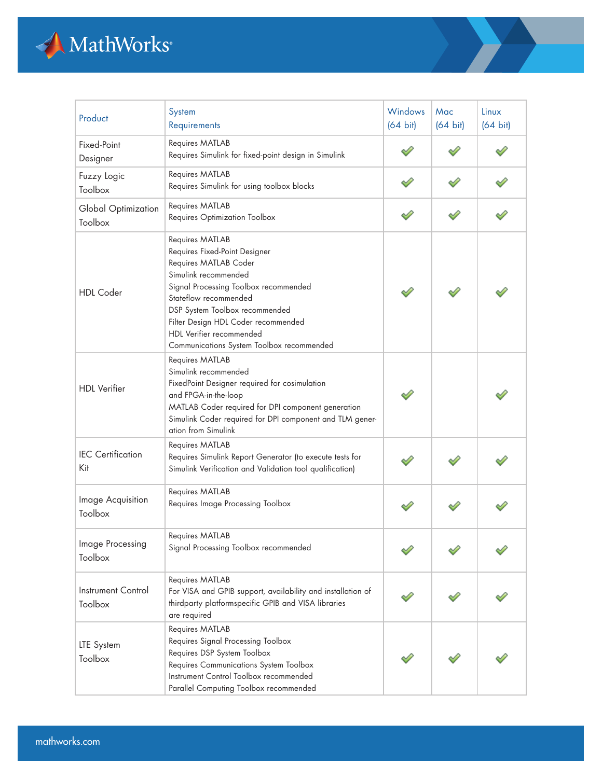

| Product                         | System<br>Requirements                                                                                                                                                                                                                                                                                                | <b>Windows</b><br>$(64 \text{ bit})$ | Mac<br>$(64 \text{ bit})$ | Linux<br>$(64 \text{ bit})$ |
|---------------------------------|-----------------------------------------------------------------------------------------------------------------------------------------------------------------------------------------------------------------------------------------------------------------------------------------------------------------------|--------------------------------------|---------------------------|-----------------------------|
| Fixed-Point<br>Designer         | Requires MATLAB<br>Requires Simulink for fixed-point design in Simulink                                                                                                                                                                                                                                               |                                      |                           |                             |
| Fuzzy Logic<br>Toolbox          | Requires MATLAB<br>Requires Simulink for using toolbox blocks                                                                                                                                                                                                                                                         |                                      |                           |                             |
| Global Optimization<br>Toolbox  | Requires MATLAB<br>Requires Optimization Toolbox                                                                                                                                                                                                                                                                      |                                      |                           |                             |
| <b>HDL</b> Coder                | Requires MATLAB<br>Requires Fixed-Point Designer<br>Requires MATLAB Coder<br>Simulink recommended<br>Signal Processing Toolbox recommended<br>Stateflow recommended<br>DSP System Toolbox recommended<br>Filter Design HDL Coder recommended<br>HDL Verifier recommended<br>Communications System Toolbox recommended |                                      |                           |                             |
| <b>HDL</b> Verifier             | Requires MATLAB<br>Simulink recommended<br>FixedPoint Designer required for cosimulation<br>and FPGA-in-the-loop<br>MATLAB Coder required for DPI component generation<br>Simulink Coder required for DPI component and TLM gener-<br>ation from Simulink                                                             |                                      |                           |                             |
| <b>IEC</b> Certification<br>Kit | Requires MATLAB<br>Requires Simulink Report Generator (to execute tests for<br>Simulink Verification and Validation tool qualification)                                                                                                                                                                               |                                      |                           |                             |
| Image Acquisition<br>Toolbox    | Requires MATLAB<br>Requires Image Processing Toolbox                                                                                                                                                                                                                                                                  |                                      |                           |                             |
| Image Processing<br>Toolbox     | <b>Requires MATLAB</b><br>Signal Processing Toolbox recommended                                                                                                                                                                                                                                                       |                                      |                           |                             |
| Instrument Control<br>Toolbox   | Requires MATLAB<br>For VISA and GPIB support, availability and installation of<br>thirdparty platformspecific GPIB and VISA libraries<br>are required                                                                                                                                                                 |                                      |                           |                             |
| LTE System<br>Toolbox           | Requires MATLAB<br>Requires Signal Processing Toolbox<br>Requires DSP System Toolbox<br>Requires Communications System Toolbox<br>Instrument Control Toolbox recommended<br>Parallel Computing Toolbox recommended                                                                                                    |                                      |                           |                             |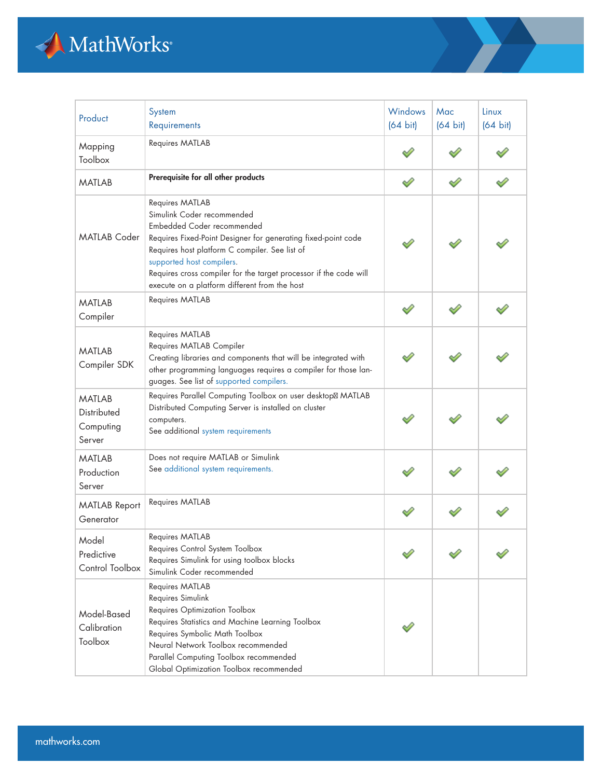

| Product                                             | System<br>Requirements                                                                                                                                                                                                                                                                                                                            | Windows<br>$(64 \text{ bit})$ | Mac<br>$(64 \text{ bit})$ | Linux<br>$(64 \text{ bit})$ |
|-----------------------------------------------------|---------------------------------------------------------------------------------------------------------------------------------------------------------------------------------------------------------------------------------------------------------------------------------------------------------------------------------------------------|-------------------------------|---------------------------|-----------------------------|
| Mapping<br>Toolbox                                  | Requires MATLAB                                                                                                                                                                                                                                                                                                                                   |                               |                           |                             |
| <b>MATLAB</b>                                       | Prerequisite for all other products                                                                                                                                                                                                                                                                                                               |                               |                           |                             |
| <b>MATLAB Coder</b>                                 | Requires MATLAB<br>Simulink Coder recommended<br>Embedded Coder recommended<br>Requires Fixed-Point Designer for generating fixed-point code<br>Requires host platform C compiler. See list of<br>supported host compilers.<br>Requires cross compiler for the target processor if the code will<br>execute on a platform different from the host |                               |                           |                             |
| <b>MATLAB</b><br>Compiler                           | Requires MATLAB                                                                                                                                                                                                                                                                                                                                   |                               |                           |                             |
| <b>MATLAB</b><br>Compiler SDK                       | Requires MATLAB<br>Requires MATLAB Compiler<br>Creating libraries and components that will be integrated with<br>other programming languages requires a compiler for those lan-<br>guages. See list of supported compilers.                                                                                                                       |                               |                           |                             |
| <b>MATLAB</b><br>Distributed<br>Computing<br>Server | Requires Parallel Computing Toolbox on user desktop MATLAB<br>Distributed Computing Server is installed on cluster<br>computers.<br>See additional system requirements                                                                                                                                                                            |                               |                           |                             |
| <b>MATLAB</b><br>Production<br>Server               | Does not require MATLAB or Simulink<br>See additional system requirements.                                                                                                                                                                                                                                                                        |                               |                           |                             |
| <b>MATLAB Report</b><br>Generator                   | Requires MATLAB                                                                                                                                                                                                                                                                                                                                   |                               |                           |                             |
| Model<br>Predictive<br>Control Toolbox              | Requires MATLAB<br>Requires Control System Toolbox<br>Requires Simulink for using toolbox blocks<br>Simulink Coder recommended                                                                                                                                                                                                                    |                               |                           |                             |
| Model-Based<br>Calibration<br>Toolbox               | Requires MATLAB<br>Requires Simulink<br>Requires Optimization Toolbox<br>Requires Statistics and Machine Learning Toolbox<br>Requires Symbolic Math Toolbox<br>Neural Network Toolbox recommended<br>Parallel Computing Toolbox recommended<br>Global Optimization Toolbox recommended                                                            |                               |                           |                             |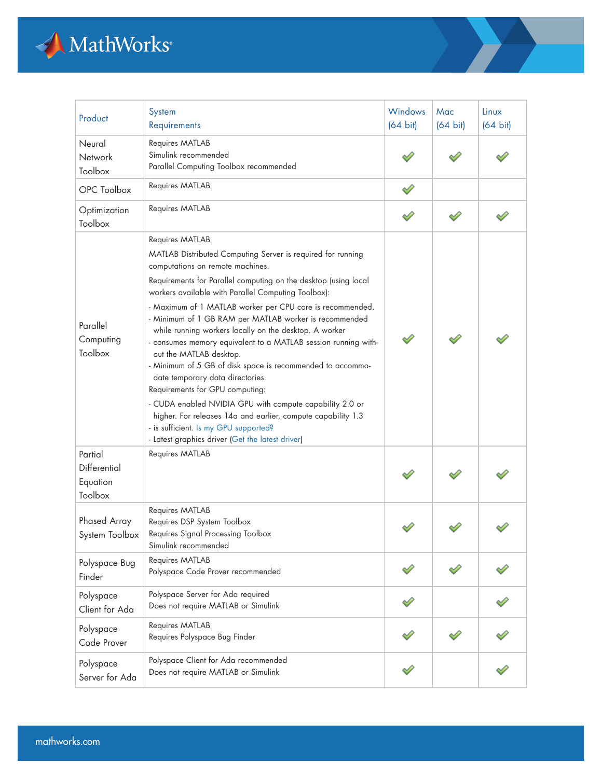

| Product                                        | System<br>Requirements                                                                                                                                                                                                                                                                                                                                                                                                                                                                                                                                                                                                                                                                                                                                                                                                                                                                   | Windows<br>$(64 \text{ bit})$ | Mac<br>$(64 \text{ bit})$ | Linux<br>$(64 \text{ bit})$ |
|------------------------------------------------|------------------------------------------------------------------------------------------------------------------------------------------------------------------------------------------------------------------------------------------------------------------------------------------------------------------------------------------------------------------------------------------------------------------------------------------------------------------------------------------------------------------------------------------------------------------------------------------------------------------------------------------------------------------------------------------------------------------------------------------------------------------------------------------------------------------------------------------------------------------------------------------|-------------------------------|---------------------------|-----------------------------|
| Neural<br>Network<br>Toolbox                   | Requires MATLAB<br>Simulink recommended<br>Parallel Computing Toolbox recommended                                                                                                                                                                                                                                                                                                                                                                                                                                                                                                                                                                                                                                                                                                                                                                                                        |                               |                           |                             |
| OPC Toolbox                                    | Requires MATLAB                                                                                                                                                                                                                                                                                                                                                                                                                                                                                                                                                                                                                                                                                                                                                                                                                                                                          |                               |                           |                             |
| Optimization<br>Toolbox                        | Requires MATLAB                                                                                                                                                                                                                                                                                                                                                                                                                                                                                                                                                                                                                                                                                                                                                                                                                                                                          |                               |                           |                             |
| Parallel<br>Computing<br>Toolbox               | Requires MATLAB<br>MATLAB Distributed Computing Server is required for running<br>computations on remote machines.<br>Requirements for Parallel computing on the desktop (using local<br>workers available with Parallel Computing Toolbox):<br>- Maximum of 1 MATLAB worker per CPU core is recommended.<br>- Minimum of 1 GB RAM per MATLAB worker is recommended<br>while running workers locally on the desktop. A worker<br>- consumes memory equivalent to a MATLAB session running with-<br>out the MATLAB desktop.<br>- Minimum of 5 GB of disk space is recommended to accommo-<br>date temporary data directories.<br>Requirements for GPU computing:<br>- CUDA enabled NVIDIA GPU with compute capability 2.0 or<br>higher. For releases 14a and earlier, compute capability 1.3<br>- is sufficient. Is my GPU supported?<br>- Latest graphics driver (Get the latest driver) |                               |                           |                             |
| Partial<br>Differential<br>Equation<br>Toolbox | Requires MATLAB                                                                                                                                                                                                                                                                                                                                                                                                                                                                                                                                                                                                                                                                                                                                                                                                                                                                          |                               |                           |                             |
| Phased Array<br>System Toolbox                 | Requires MATLAB<br>Requires DSP System Toolbox<br>Requires Signal Processing Toolbox<br>Simulink recommended                                                                                                                                                                                                                                                                                                                                                                                                                                                                                                                                                                                                                                                                                                                                                                             |                               |                           |                             |
| Polyspace Bug<br>Finder                        | Requires MATLAB<br>Polyspace Code Prover recommended                                                                                                                                                                                                                                                                                                                                                                                                                                                                                                                                                                                                                                                                                                                                                                                                                                     |                               |                           |                             |
| Polyspace<br>Client for Ada                    | Polyspace Server for Ada required<br>Does not require MATLAB or Simulink                                                                                                                                                                                                                                                                                                                                                                                                                                                                                                                                                                                                                                                                                                                                                                                                                 |                               |                           |                             |
| Polyspace<br>Code Prover                       | Requires MATLAB<br>Requires Polyspace Bug Finder                                                                                                                                                                                                                                                                                                                                                                                                                                                                                                                                                                                                                                                                                                                                                                                                                                         |                               |                           |                             |
| Polyspace<br>Server for Ada                    | Polyspace Client for Ada recommended<br>Does not require MATLAB or Simulink                                                                                                                                                                                                                                                                                                                                                                                                                                                                                                                                                                                                                                                                                                                                                                                                              |                               |                           |                             |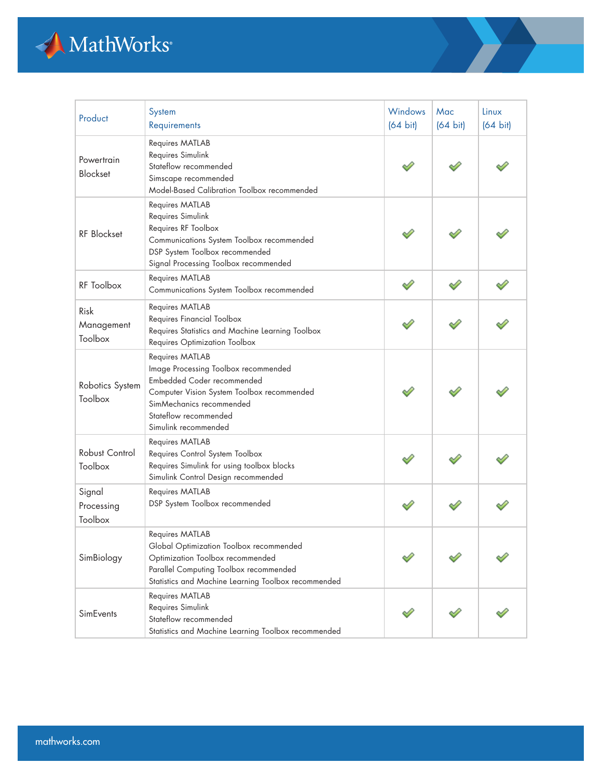

| Product                         | System<br>Requirements                                                                                                                                                                                           | <b>Windows</b><br>$(64 \text{ bit})$ | Mac<br>$(64 \text{ bit})$ | Linux<br>$(64 \text{ bit})$ |
|---------------------------------|------------------------------------------------------------------------------------------------------------------------------------------------------------------------------------------------------------------|--------------------------------------|---------------------------|-----------------------------|
| Powertrain<br><b>Blockset</b>   | Requires MATLAB<br>Requires Simulink<br>Stateflow recommended<br>Simscape recommended<br>Model-Based Calibration Toolbox recommended                                                                             |                                      |                           |                             |
| <b>RF</b> Blockset              | Requires MATLAB<br>Requires Simulink<br>Requires RF Toolbox<br>Communications System Toolbox recommended<br>DSP System Toolbox recommended<br>Signal Processing Toolbox recommended                              |                                      |                           |                             |
| RF Toolbox                      | Requires MATLAB<br>Communications System Toolbox recommended                                                                                                                                                     |                                      |                           |                             |
| Risk<br>Management<br>Toolbox   | Requires MATLAB<br>Requires Financial Toolbox<br>Requires Statistics and Machine Learning Toolbox<br>Requires Optimization Toolbox                                                                               |                                      |                           |                             |
| Robotics System<br>Toolbox      | Requires MATLAB<br>Image Processing Toolbox recommended<br>Embedded Coder recommended<br>Computer Vision System Toolbox recommended<br>SimMechanics recommended<br>Stateflow recommended<br>Simulink recommended |                                      |                           |                             |
| Robust Control<br>Toolbox       | Requires MATLAB<br>Requires Control System Toolbox<br>Requires Simulink for using toolbox blocks<br>Simulink Control Design recommended                                                                          |                                      |                           |                             |
| Signal<br>Processing<br>Toolbox | Requires MATLAB<br>DSP System Toolbox recommended                                                                                                                                                                |                                      |                           |                             |
| SimBiology                      | Requires MATLAB<br>Global Optimization Toolbox recommended<br>Optimization Toolbox recommended<br>Parallel Computing Toolbox recommended<br>Statistics and Machine Learning Toolbox recommended                  |                                      |                           |                             |
| <b>SimEvents</b>                | Requires MATLAB<br>Requires Simulink<br>Stateflow recommended<br>Statistics and Machine Learning Toolbox recommended                                                                                             |                                      |                           |                             |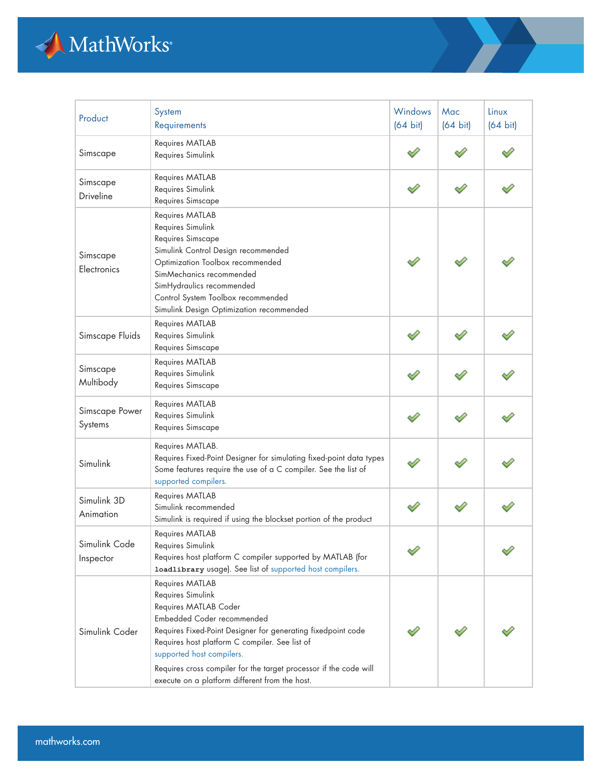

| Product                    | System<br>Requirements                                                                                                                                                                                                                                                                                                                                            | <b>Windows</b><br>$(64 \text{ bit})$ | Mac<br>$(64 \text{ bit})$ | Linux<br>$(64 \text{ bit})$ |
|----------------------------|-------------------------------------------------------------------------------------------------------------------------------------------------------------------------------------------------------------------------------------------------------------------------------------------------------------------------------------------------------------------|--------------------------------------|---------------------------|-----------------------------|
| Simscape                   | Requires MATLAB<br>Requires Simulink                                                                                                                                                                                                                                                                                                                              |                                      |                           |                             |
| Simscape<br>Driveline      | Requires MATLAB<br>Requires Simulink<br>Requires Simscape                                                                                                                                                                                                                                                                                                         |                                      |                           |                             |
| Simscape<br>Electronics    | Requires MATLAB<br>Requires Simulink<br>Requires Simscape<br>Simulink Control Design recommended<br>Optimization Toolbox recommended<br>SimMechanics recommended<br>SimHydraulics recommended<br>Control System Toolbox recommended<br>Simulink Design Optimization recommended                                                                                   |                                      |                           |                             |
| Simscape Fluids            | Requires MATLAB<br>Requires Simulink<br>Requires Simscape                                                                                                                                                                                                                                                                                                         |                                      |                           |                             |
| Simscape<br>Multibody      | Requires MATLAB<br>Requires Simulink<br>Requires Simscape                                                                                                                                                                                                                                                                                                         |                                      |                           |                             |
| Simscape Power<br>Systems  | Requires MATLAB<br>Requires Simulink<br>Requires Simscape                                                                                                                                                                                                                                                                                                         |                                      |                           |                             |
| Simulink                   | Requires MATLAB.<br>Requires Fixed-Point Designer for simulating fixed-point data types<br>Some features require the use of a C compiler. See the list of<br>supported compilers.                                                                                                                                                                                 |                                      |                           |                             |
| Simulink 3D<br>Animation   | Requires MATLAB<br>Simulink recommended<br>Simulink is required if using the blockset portion of the product                                                                                                                                                                                                                                                      |                                      |                           |                             |
| Simulink Code<br>Inspector | Requires MATLAB<br>Requires Simulink<br>Requires host platform C compiler supported by MATLAB (for<br>loadlibrary usage). See list of supported host compilers.                                                                                                                                                                                                   |                                      |                           |                             |
| Simulink Coder             | Requires MATLAB<br>Requires Simulink<br>Requires MATLAB Coder<br>Embedded Coder recommended<br>Requires Fixed-Point Designer for generating fixedpoint code<br>Requires host platform C compiler. See list of<br>supported host compilers.<br>Requires cross compiler for the target processor if the code will<br>execute on a platform different from the host. |                                      |                           |                             |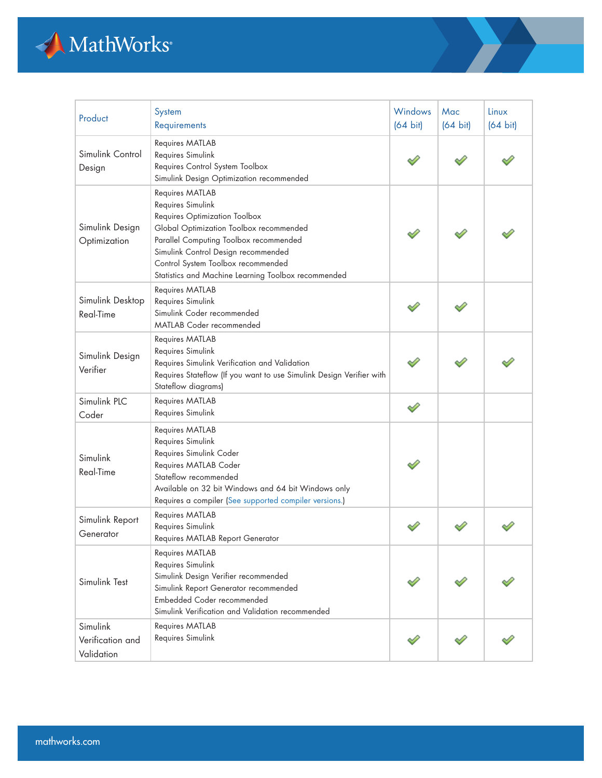

| Product                                    | System<br>Requirements                                                                                                                                                                                                                                                                         | Windows<br>$(64 \text{ bit})$ | Mac<br>$(64 \text{ bit})$ | Linux<br>$(64 \text{ bit})$ |
|--------------------------------------------|------------------------------------------------------------------------------------------------------------------------------------------------------------------------------------------------------------------------------------------------------------------------------------------------|-------------------------------|---------------------------|-----------------------------|
| Simulink Control<br>Design                 | Requires MATLAB<br>Requires Simulink<br>Requires Control System Toolbox<br>Simulink Design Optimization recommended                                                                                                                                                                            |                               |                           |                             |
| Simulink Design<br>Optimization            | Requires MATLAB<br>Requires Simulink<br>Requires Optimization Toolbox<br>Global Optimization Toolbox recommended<br>Parallel Computing Toolbox recommended<br>Simulink Control Design recommended<br>Control System Toolbox recommended<br>Statistics and Machine Learning Toolbox recommended |                               |                           |                             |
| Simulink Desktop<br><b>Real-Time</b>       | Requires MATLAB<br>Requires Simulink<br>Simulink Coder recommended<br><b>MATLAB Coder recommended</b>                                                                                                                                                                                          |                               |                           |                             |
| Simulink Design<br>Verifier                | Requires MATLAB<br>Requires Simulink<br>Requires Simulink Verification and Validation<br>Requires Stateflow (If you want to use Simulink Design Verifier with<br>Stateflow diagrams)                                                                                                           |                               |                           |                             |
| Simulink PLC<br>Coder                      | Requires MATLAB<br>Requires Simulink                                                                                                                                                                                                                                                           | ♦                             |                           |                             |
| Simulink<br>Real-Time                      | Requires MATLAB<br>Requires Simulink<br>Requires Simulink Coder<br>Requires MATLAB Coder<br>Stateflow recommended<br>Available on 32 bit Windows and 64 bit Windows only<br>Requires a compiler (See supported compiler versions.)                                                             |                               |                           |                             |
| Simulink Report<br>Generator               | Requires MATLAB<br>Requires Simulink<br>Requires MATLAB Report Generator                                                                                                                                                                                                                       |                               |                           |                             |
| Simulink Test                              | Requires MATLAB<br>Requires Simulink<br>Simulink Design Verifier recommended<br>Simulink Report Generator recommended<br>Embedded Coder recommended<br>Simulink Verification and Validation recommended                                                                                        |                               |                           |                             |
| Simulink<br>Verification and<br>Validation | Requires MATLAB<br>Requires Simulink                                                                                                                                                                                                                                                           |                               |                           |                             |